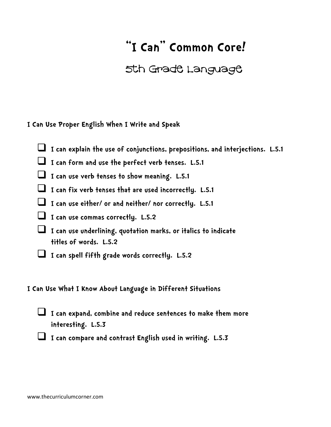## **"I Can" Common Core!**

## 5th Grade Language

**I Can Use Proper English When I Write and Speak**

- **I can explain the use of conjunctions, prepositions, and interjections. L.5.1**
- **I can form and use the perfect verb tenses. L.5.1**
- **I can use verb tenses to show meaning. L.5.1**
- **I can fix verb tenses that are used incorrectly. L.5.1**
- **I can use either/ or and neither/ nor correctly. L.5.1**
- **I can use commas correctly. L.5.2**
- **I can use underlining, quotation marks, or italics to indicate titles of words. L.5.2**
- **I can spell fifth grade words correctly. L.5.2**

**I Can Use What I Know About Language in Different Situations**



 **I can expand, combine and reduce sentences to make them more interesting. L.5.3**

 **I can compare and contrast English used in writing. L.5.3**